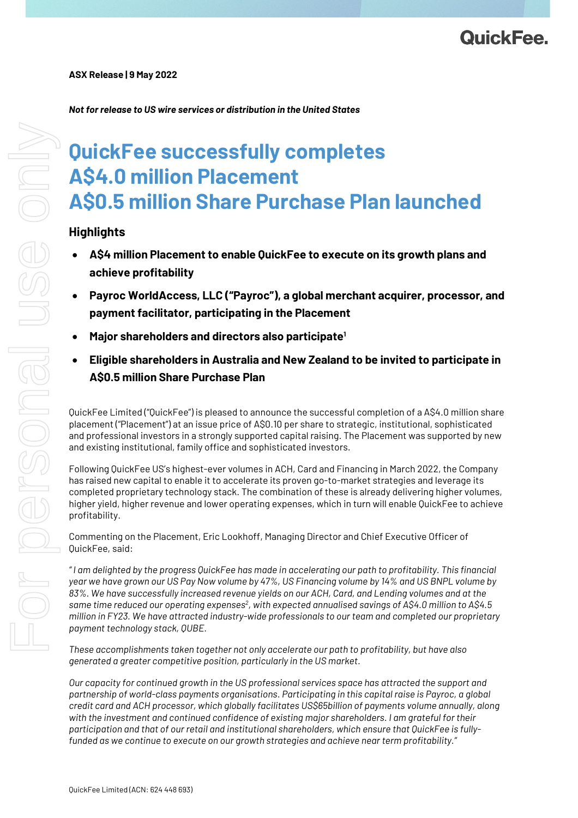### *Not for release to US wire services or distribution in the United States*

# **QuickFee successfully completes A\$4.0 million Placement A\$0.5 million Share Purchase Plan launched**

## **Highlights**

- **A\$4 million Placement to enable QuickFee to execute on its growth plans and achieve profitability**
- **Payroc WorldAccess, LLC ("Payroc"), a global merchant acquirer, processor, and payment facilitator, participating in the Placement**
- **Major shareholders and directors also participate1**
- **Eligible shareholders in Australia and New Zealand to be invited to participate in A\$0.5 million Share Purchase Plan**

QuickFee Limited ("QuickFee") is pleased to announce the successful completion of a A\$4.0 million share placement ("Placement") at an issue price of A\$0.10 per share to strategic, institutional, sophisticated and professional investors in a strongly supported capital raising. The Placement was supported by new and existing institutional, family office and sophisticated investors.

Following QuickFee US's highest-ever volumes in ACH, Card and Financing in March 2022, the Company has raised new capital to enable it to accelerate its proven go-to-market strategies and leverage its completed proprietary technology stack. The combination of these is already delivering higher volumes, higher yield, higher revenue and lower operating expenses, which in turn will enable QuickFee to achieve profitability.

Commenting on the Placement, Eric Lookhoff, Managing Director and Chief Executive Officer of QuickFee, said:

*" I am delighted by the progress QuickFee has made in accelerating our path to profitability. This financial year we have grown our US Pay Now volume by 47%, US Financing volume by 14% and US BNPL volume by 83%. We have successfully increased revenue yields on our ACH, Card, and Lending volumes and at the same time reduced our operating expenses2 , with expected annualised savings of A\$4.0 million to A\$4.5 million in FY23. We have attracted industry-wide professionals to our team and completed our proprietary payment technology stack, QUBE.*

*These accomplishments taken together not only accelerate our path to profitability, but have also generated a greater competitive position, particularly in the US market.*

*Our capacity for continued growth in the US professional services space has attracted the support and partnership of world-class payments organisations. Participating in this capital raise is Payroc, a global credit card and ACH processor, which globally facilitates US\$65billion of payments volume annually, along with the investment and continued confidence of existing major shareholders. I am grateful for their participation and that of our retail and institutional shareholders, which ensure that QuickFee is fullyfunded as we continue to execute on our growth strategies and achieve near term profitability."*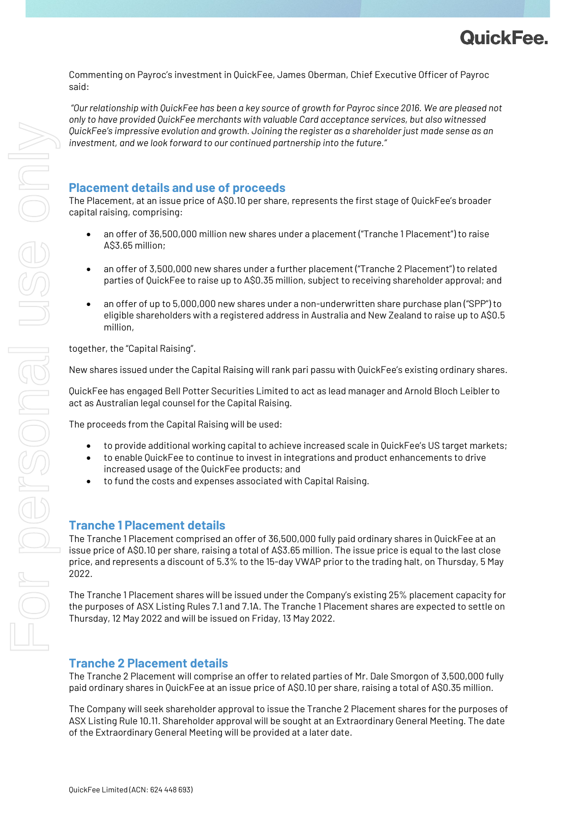

Commenting on Payroc's investment in QuickFee, James Oberman, Chief Executive Officer of Payroc said:

*"Our relationship with QuickFee has been a key source of growth for Payroc since 2016. We are pleased not only to have provided QuickFee merchants with valuable Card acceptance services, but also witnessed QuickFee's impressive evolution and growth. Joining the register as a shareholder just made sense as an investment, and we look forward to our continued partnership into the future."*

## **Placement details and use of proceeds**

The Placement, at an issue price of A\$0.10 per share, represents the first stage of QuickFee's broader capital raising, comprising:

- an offer of 36,500,000 million new shares under a placement ("Tranche 1 Placement") to raise A\$3.65 million;
- an offer of 3,500,000 new shares under a further placement ("Tranche 2 Placement") to related parties of QuickFee to raise up to A\$0.35 million, subject to receiving shareholder approval; and
- an offer of up to 5,000,000 new shares under a non-underwritten share purchase plan ("SPP") to eligible shareholders with a registered address in Australia and New Zealand to raise up to A\$0.5 million,

together, the "Capital Raising".

New shares issued under the Capital Raising will rank pari passu with QuickFee's existing ordinary shares.

QuickFee has engaged Bell Potter Securities Limited to act as lead manager and Arnold Bloch Leibler to act as Australian legal counsel for the Capital Raising.

The proceeds from the Capital Raising will be used:

- to provide additional working capital to achieve increased scale in QuickFee's US target markets;
- to enable QuickFee to continue to invest in integrations and product enhancements to drive increased usage of the QuickFee products; and
- to fund the costs and expenses associated with Capital Raising.

#### **Tranche 1 Placement details**

The Tranche 1 Placement comprised an offer of 36,500,000 fully paid ordinary shares in QuickFee at an issue price of A\$0.10 per share, raising a total of A\$3.65 million. The issue price is equal to the last close price, and represents a discount of 5.3% to the 15-day VWAP prior to the trading halt, on Thursday, 5 May 2022.

The Tranche 1 Placement shares will be issued under the Company's existing 25% placement capacity for the purposes of ASX Listing Rules 7.1 and 7.1A. The Tranche 1 Placement shares are expected to settle on Thursday, 12 May 2022 and will be issued on Friday, 13 May 2022.

## **Tranche 2 Placement details**

The Tranche 2 Placement will comprise an offer to related parties of Mr. Dale Smorgon of 3,500,000 fully paid ordinary shares in QuickFee at an issue price of A\$0.10 per share, raising a total of A\$0.35 million.

The Company will seek shareholder approval to issue the Tranche 2 Placement shares for the purposes of ASX Listing Rule 10.11. Shareholder approval will be sought at an Extraordinary General Meeting. The date of the Extraordinary General Meeting will be provided at a later date.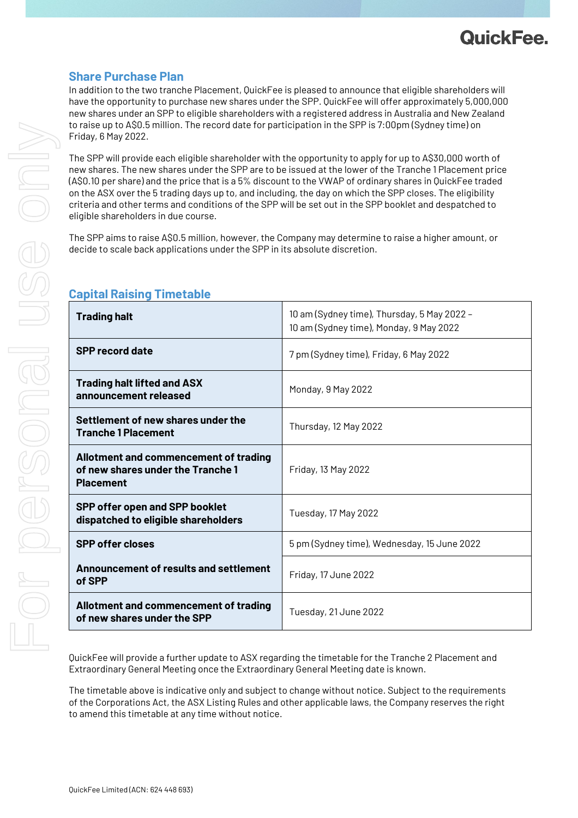

# **Share Purchase Plan**

In addition to the two tranche Placement, QuickFee is pleased to announce that eligible shareholders will have the opportunity to purchase new shares under the SPP. QuickFee will offer approximately 5,000,000 new shares under an SPP to eligible shareholders with a registered address in Australia and New Zealand to raise up to A\$0.5 million. The record date for participation in the SPP is 7:00pm (Sydney time) on Friday, 6 May 2022.

The SPP will provide each eligible shareholder with the opportunity to apply for up to A\$30,000 worth of new shares. The new shares under the SPP are to be issued at the lower of the Tranche 1 Placement price (A\$0.10 per share) and the price that is a 5% discount to the VWAP of ordinary shares in QuickFee traded on the ASX over the 5 trading days up to, and including, the day on which the SPP closes. The eligibility criteria and other terms and conditions of the SPP will be set out in the SPP booklet and despatched to eligible shareholders in due course.

The SPP aims to raise A\$0.5 million, however, the Company may determine to raise a higher amount, or decide to scale back applications under the SPP in its absolute discretion.

| <b>Trading halt</b>                                                                                   | 10 am (Sydney time), Thursday, 5 May 2022 -<br>10 am (Sydney time), Monday, 9 May 2022 |
|-------------------------------------------------------------------------------------------------------|----------------------------------------------------------------------------------------|
| <b>SPP record date</b>                                                                                | 7 pm (Sydney time), Friday, 6 May 2022                                                 |
| <b>Trading halt lifted and ASX</b><br>announcement released                                           | Monday, 9 May 2022                                                                     |
| Settlement of new shares under the<br><b>Tranche 1 Placement</b>                                      | Thursday, 12 May 2022                                                                  |
| <b>Allotment and commencement of trading</b><br>of new shares under the Tranche 1<br><b>Placement</b> | Friday, 13 May 2022                                                                    |
| <b>SPP offer open and SPP booklet</b><br>dispatched to eligible shareholders                          | Tuesday, 17 May 2022                                                                   |
| <b>SPP offer closes</b>                                                                               | 5 pm (Sydney time), Wednesday, 15 June 2022                                            |
| <b>Announcement of results and settlement</b><br>of SPP                                               | Friday, 17 June 2022                                                                   |
| Allotment and commencement of trading<br>of new shares under the SPP                                  | Tuesday, 21 June 2022                                                                  |

# **Capital Raising Timetable**

QuickFee will provide a further update to ASX regarding the timetable for the Tranche 2 Placement and Extraordinary General Meeting once the Extraordinary General Meeting date is known.

The timetable above is indicative only and subject to change without notice. Subject to the requirements of the Corporations Act, the ASX Listing Rules and other applicable laws, the Company reserves the right to amend this timetable at any time without notice.